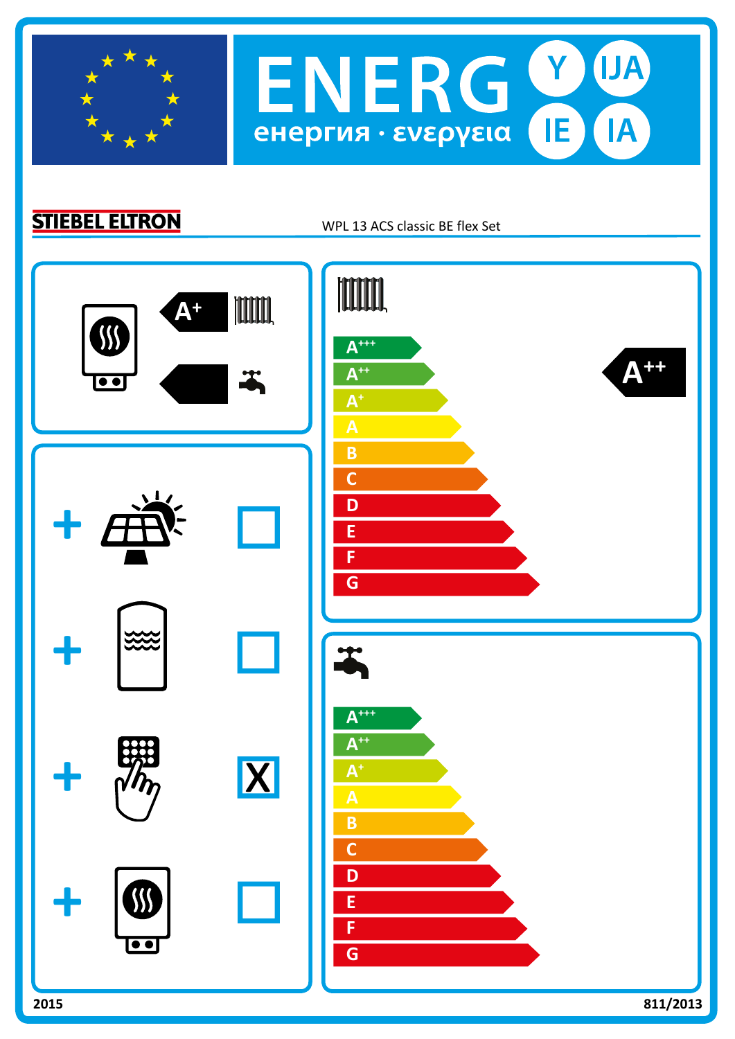

**STIEBEL ELTRON** 

WPL 13 ACS classic BE flex Set

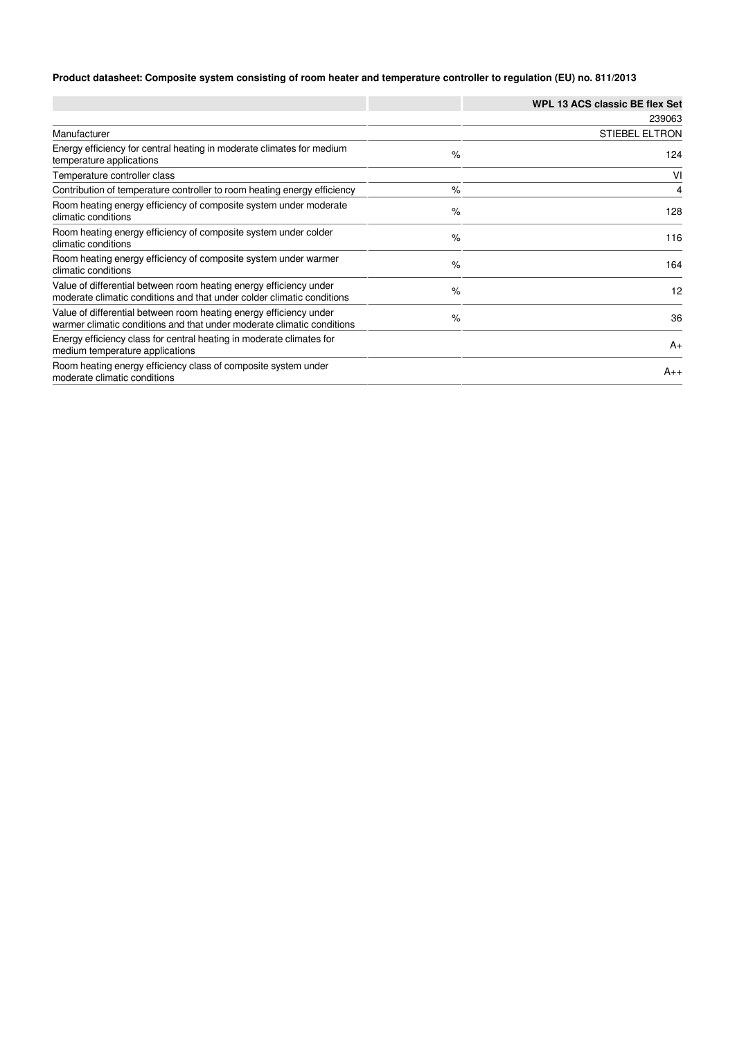## **Product datasheet: Composite system consisting of room heater and temperature controller to regulation (EU) no. 811/2013**

|                                                                                                                                              |      | <b>WPL 13 ACS classic BE flex Set</b> |
|----------------------------------------------------------------------------------------------------------------------------------------------|------|---------------------------------------|
|                                                                                                                                              |      | 239063                                |
| Manufacturer                                                                                                                                 |      | <b>STIEBEL ELTRON</b>                 |
| Energy efficiency for central heating in moderate climates for medium<br>temperature applications                                            | $\%$ | 124                                   |
| Temperature controller class                                                                                                                 |      | VI                                    |
| Contribution of temperature controller to room heating energy efficiency                                                                     | $\%$ | 4                                     |
| Room heating energy efficiency of composite system under moderate<br>climatic conditions                                                     | $\%$ | 128                                   |
| Room heating energy efficiency of composite system under colder<br>climatic conditions                                                       | $\%$ | 116                                   |
| Room heating energy efficiency of composite system under warmer<br>climatic conditions                                                       | $\%$ | 164                                   |
| Value of differential between room heating energy efficiency under<br>moderate climatic conditions and that under colder climatic conditions | $\%$ | 12                                    |
| Value of differential between room heating energy efficiency under<br>warmer climatic conditions and that under moderate climatic conditions | $\%$ | 36                                    |
| Energy efficiency class for central heating in moderate climates for<br>medium temperature applications                                      |      | $A_{+}$                               |
| Room heating energy efficiency class of composite system under<br>moderate climatic conditions                                               |      | $A_{++}$                              |